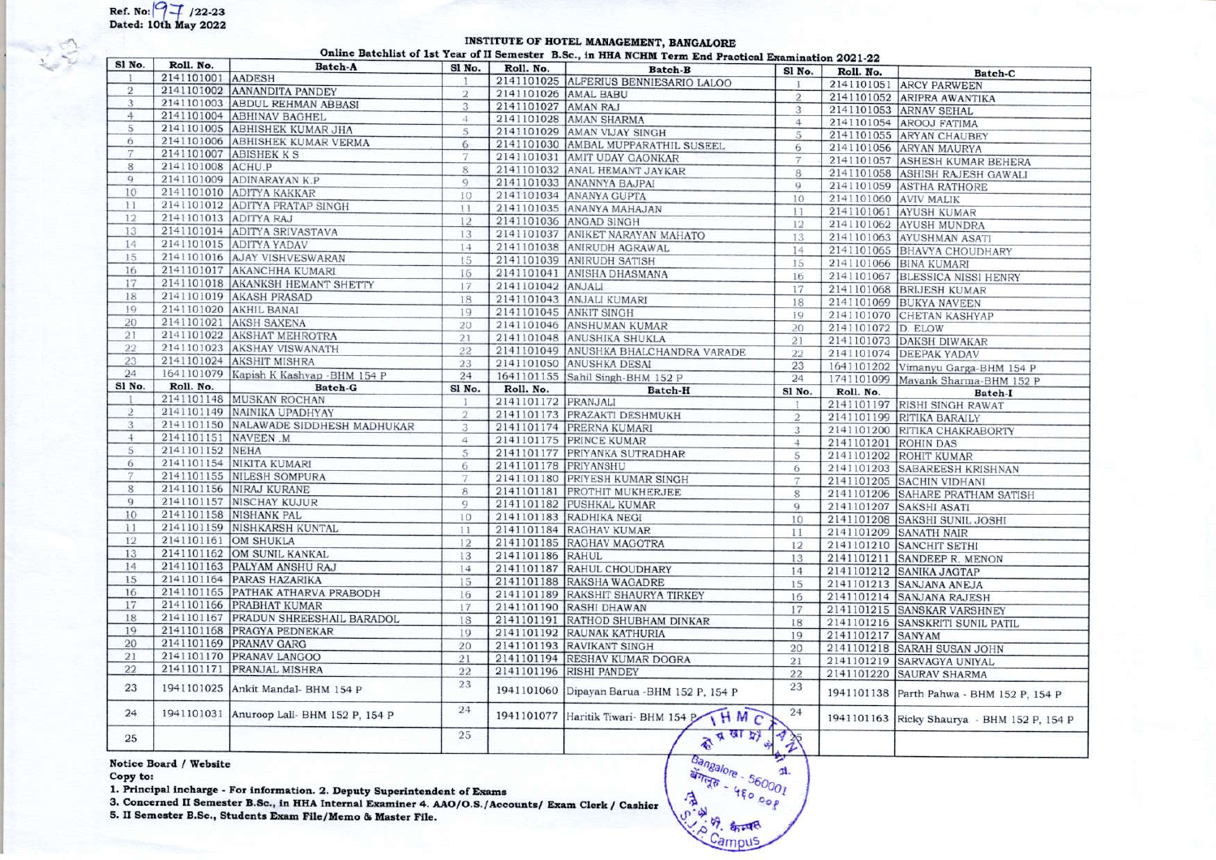## INSTITUTE OF HOTEL MANAGEMENT, BANGALORE Online Batchlist of 1st Year of II Semester B.Sc., in HHA NCHM Term End Practice

| Sl No.          | Roll. No.             | <b>Batch-A</b>                            | Sl No.          | Roll. No.            | <b>Semioler</b> Bibel, in this well in Film End Fractical Examination 2021-22 |                |                       |                                             |
|-----------------|-----------------------|-------------------------------------------|-----------------|----------------------|-------------------------------------------------------------------------------|----------------|-----------------------|---------------------------------------------|
|                 | 2141101001 AADESH     |                                           | 1               |                      | <b>Batch-B</b><br>2141101025 ALFERIUS BENNIESARIO LALOO                       | Sl No.         | Roll. No.             | <b>Batch-C</b>                              |
| $\overline{2}$  |                       | 2141101002 AANANDITA PANDEY               | $\overline{2}$  | 2141101026 AMAL BABU |                                                                               |                |                       | 2141101051 ARCY PARWEEN                     |
| 3               |                       | 2141101003 ABDUL REHMAN ABBASI            | 3               | 2141101027 AMAN RAJ  |                                                                               | $\overline{2}$ |                       | 2141101052 ARIPRA AWANTIKA                  |
| $\overline{4}$  |                       | 2141101004 ABHINAV BAGHEL                 | $\overline{4}$  |                      | 2141101028 AMAN SHARMA                                                        | $\overline{3}$ |                       | 2141101053 ARNAV SEHAL                      |
| 5               |                       | 2141101005 ABHISHEK KUMAR JHA             | 5               |                      | 2141101029 AMAN VIJAY SINGH                                                   | 4              |                       | 2141101054 AROOJ FATIMA                     |
| 6               |                       | 2141101006 ABHISHEK KUMAR VERMA           | 6               |                      |                                                                               | 5              |                       | 2141101055 ARYAN CHAUBEY                    |
| 7               |                       | 2141101007 ABISHEK K S                    | 7               |                      | 2141101030 AMBAL MUPPARATHIL SUSEEL                                           | 6              |                       | 2141101056 ARYAN MAURYA                     |
| 8               | 2141101008 ACHU.P     |                                           | 8               |                      | 2141101031 AMIT UDAY GAONKAR<br>2141101032 ANAL HEMANT JAYKAR                 | $\overline{7}$ |                       | 2141101057 ASHESH KUMAR BEHERA              |
| 9               |                       | 2141101009 ADINARAYAN K.P                 | Q               |                      |                                                                               | 8              |                       | 2141101058 ASHISH RAJESH GAWALI             |
| 10              |                       | 2141101010 ADITYA KAKKAR                  |                 |                      | 2141101033 ANANNYA BAJPAI                                                     | $\mathbf{Q}$   |                       | 2141101059 ASTHA RATHORE                    |
| 11              |                       | 2141101012 ADITYA PRATAP SINGH            | 10              |                      | 2141101034 ANANYA GUPTA                                                       | 10             | 2141101060 AVIV MALIK |                                             |
| 12 <sup>°</sup> | 2141101013 ADITYA RAJ |                                           | 11              |                      | 2141101035 ANANYA MAHAJAN                                                     | 11             |                       | 2141101061 AYUSH KUMAR                      |
| 13              |                       | 2141101014 ADITYA SRIVASTAVA              | 12              |                      | 2141101036 ANGAD SINGH                                                        | 12             |                       | 2141101062 AYUSH MUNDRA                     |
| 14              |                       | 2141101015 ADITYA YADAV                   | 13              |                      | 2141101037 ANIKET NARAYAN MAHATO                                              | 13             |                       | 2141101063 AYUSHMAN ASATI                   |
| 15              |                       | 2141101016 AJAY VISHVESWARAN              | 14              |                      | 2141101038 ANIRUDH AGRAWAL                                                    | 14             |                       | 2141101065 BHAVYA CHOUDHARY                 |
|                 |                       |                                           | 15              |                      | 2141101039 ANIRUDH SATISH                                                     | 15             |                       | 2141101066 BINA KUMARI                      |
| 16              |                       | 2141101017 AKANCHHA KUMARI                | 16              |                      | 2141101041 ANISHA DHASMANA                                                    | 16             |                       | 2141101067 BLESSICA NISSI HENRY             |
| 17              |                       | 2141101018 AKANKSH HEMANT SHETTY          | 17              | 2141101042 ANJALI    |                                                                               | 17             |                       | 2141101068 BRIJESH KUMAR                    |
| 18              |                       | 2141101019 AKASH PRASAD                   | 18              |                      | 2141101043 ANJALI KUMARI                                                      | 18             |                       | 2141101069 BUKYA NAVEEN                     |
| 19              |                       | 2141101020 AKHIL BANAI                    | 19              |                      | 2141101045 ANKIT SINGH                                                        | 19             |                       | 2141101070 CHETAN KASHYAP                   |
| 20              |                       | 2141101021 AKSH SAXENA                    | 20              |                      | 2141101046 ANSHUMAN KUMAR                                                     | 20             | 2141101072 D. ELOW    |                                             |
| 21              |                       | 2141101022 AKSHAT MEHROTRA                | 21              |                      | 2141101048 ANUSHIKA SHUKLA                                                    | 21             |                       | 2141101073 DAKSH DIWAKAR                    |
| 22              |                       | 2141101023 AKSHAY VISWANATH               | 22              |                      | 2141101049 ANUSHKA BHALCHANDRA VARADE                                         | 22             |                       | 2141101074 DEEPAK YADAV                     |
| 23              |                       | 2141101024 AKSHIT MISHRA                  | 23              |                      | 2141101050 ANUSHKA DESAI                                                      | 23             |                       | 1641101202 Vimanyu Garga-BHM 154 P          |
| 24              |                       | 1641101079 Kapish K Kashyap - BHM 154 P   | 24              |                      | 1641101155 Sahil Singh-BHM 152 P                                              | 24             |                       | 1741101099 Mayank Sharma-BHM 152 P          |
| Sl No.          | Roll. No.             | Batch-G                                   | Sl No.          | Roll. No.            | Batch-H                                                                       | Sl No.         | Roll. No.             | Batch-I                                     |
|                 |                       | 2141101148 MUSKAN ROCHAN                  | $\mathbf{1}$    | 2141101172 PRANJALI  |                                                                               |                |                       | 2141101197 RISHI SINGH RAWAT                |
| $\overline{2}$  |                       | 2141101149 NAINIKA UPADHYAY               | $\overline{2}$  |                      | 2141101173 PRAZAKTI DESHMUKH                                                  | $\overline{2}$ |                       | 2141101199 RITIKA BARAILY                   |
| 3               |                       | 2141101150 NALAWADE SIDDHESH MADHUKAR     | $\mathbf{3}$    |                      | 2141101174 PRERNA KUMARI                                                      | $\mathbf{3}$   |                       | 2141101200 RITIKA CHAKRABORTY               |
| $\ddot{4}$      | 2141101151 NAVEEN .M  |                                           | $\overline{4}$  |                      | 2141101175 PRINCE KUMAR                                                       | $\overline{4}$ | 2141101201 ROHIN DAS  |                                             |
| 5               | 2141101152 NEHA       |                                           | $\overline{5}$  |                      | 2141101177 PRIYANKA SUTRADHAR                                                 | 5              |                       | 2141101202 ROHIT KUMAR                      |
| 6               |                       | 2141101154 NIKITA KUMARI                  | $6\overline{6}$ | 2141101178 PRIYANSHU |                                                                               | 6              |                       | 2141101203 SABAREESH KRISHNAN               |
| 7               |                       | 2141101155 NILESH SOMPURA                 | $\overline{7}$  |                      | 2141101180 PRIYESH KUMAR SINGH                                                | 7              |                       | 2141101205 SACHIN VIDHANI                   |
| 8               |                       | 2141101156 NIRAJ KURANE                   | 8               |                      | 2141101181 PROTHIT MUKHERJEE                                                  | 8              |                       | 2141101206 SAHARE PRATHAM SATISH            |
| 9               |                       | 2141101157 NISCHAY KUJUR                  | Q               |                      | 2141101182 PUSHKAL KUMAR                                                      | $\mathbf{Q}$   |                       | 2141101207 SAKSHI ASATI                     |
| 10              |                       | 2141101158 NISHANK PAL                    | 10              |                      | 2141101183 RADHIKA NEGI                                                       | 10             |                       | 2141101208 SAKSHI SUNIL JOSHI               |
| 11              |                       | 2141101159 NISHKARSH KUNTAL               | 11              |                      | 2141101184 RAGHAV KUMAR                                                       | 11             |                       | 2141101209 SANATH NAIR                      |
| 12              | 2141101161 OM SHUKLA  |                                           | 12              |                      | 2141101185 RAGHAV MAGOTRA                                                     | 12             |                       | 2141101210 SANCHIT SETHI                    |
| 13              |                       | 2141101162 OM SUNIL KANKAL                | 13              | 2141101186 RAHUL     |                                                                               | 13             |                       | 2141101211 SANDEEP R. MENON                 |
| 14              |                       | 2141101163 PALYAM ANSHU RAJ               | 14              |                      | 2141101187 RAHUL CHOUDHARY                                                    | 14             |                       | 2141101212 SANIKA JAGTAP                    |
| 15              |                       | 2141101164 PARAS HAZARIKA                 | 15              |                      | 2141101188 RAKSHA WAGADRE                                                     | 15             |                       | 2141101213 SANJANA ANEJA                    |
| 16              |                       | 2141101165 PATHAK ATHARVA PRABODH         | 16              |                      | 2141101189 RAKSHIT SHAURYA TIRKEY                                             | 16             |                       | 2141101214 SANJANA RAJESH                   |
| 17              |                       | 2141101166 PRABHAT KUMAR                  | 17              |                      | 2141101190 RASHI DHAWAN                                                       | 17             |                       | 2141101215 SANSKAR VARSHNEY                 |
| 18              |                       | 2141101167 PRADUN SHREESHAIL BARADOL      | 18              |                      | 2141101191 RATHOD SHUBHAM DINKAR                                              | 18             |                       | 2141101216 SANSKRITI SUNIL PATIL            |
| 19              |                       | 2141101168 PRAGYA PEDNEKAR                | 19              |                      | 2141101192 RAUNAK KATHURIA                                                    | 19             | 2141101217 SANYAM     |                                             |
| 20              |                       | 2141101169 PRANAV GARG                    | 20              |                      | 2141101193 RAVIKANT SINGH                                                     | 20             |                       | 2141101218 SARAH SUSAN JOHN                 |
| 21              |                       | 2141101170 PRANAV LANGOO                  | 21              |                      | 2141101194 RESHAV KUMAR DOGRA                                                 | 21             |                       | 2141101219 SARVAGYA UNIYAL                  |
| 22              |                       | 2141101171 PRANJAL MISHRA                 | 22              |                      | 2141101196 RISHI PANDEY                                                       | 22             |                       | 2141101220 SAURAV SHARMA                    |
| 23              | 1941101025            | Ankit Mandal- BHM 154 P                   | 23              | 1941101060           | Dipayan Barua - BHM 152 P, 154 P                                              | 23             |                       | 1941101138 Parth Pahwa - BHM 152 P, 154 P   |
| 24              |                       | 1941101031 Anuroop Lall- BHM 152 P, 154 P | 24              | 1941101077           | HMC<br>Haritik Tiwari- BHM 154 P                                              | 24             |                       | 1941101163 Ricky Shaurya - BHM 152 P, 154 P |
| 25              |                       |                                           | 25              |                      | 香豆園好学                                                                         | 梦              |                       |                                             |

Notice Board / Website

## Copy to:

1. Principal incharge - For information. 2. Deputy Superintendent of Exams

3. Concerned II Semester B.Sc., in HHA Internal Examiner 4. AAO/O.S./Accounts/ Exam Clerk / Cashier

5. II Semester B.Sc., Students Exam File/Memo & Master File.

Bangalore - 560001 **ERICATE** Campus